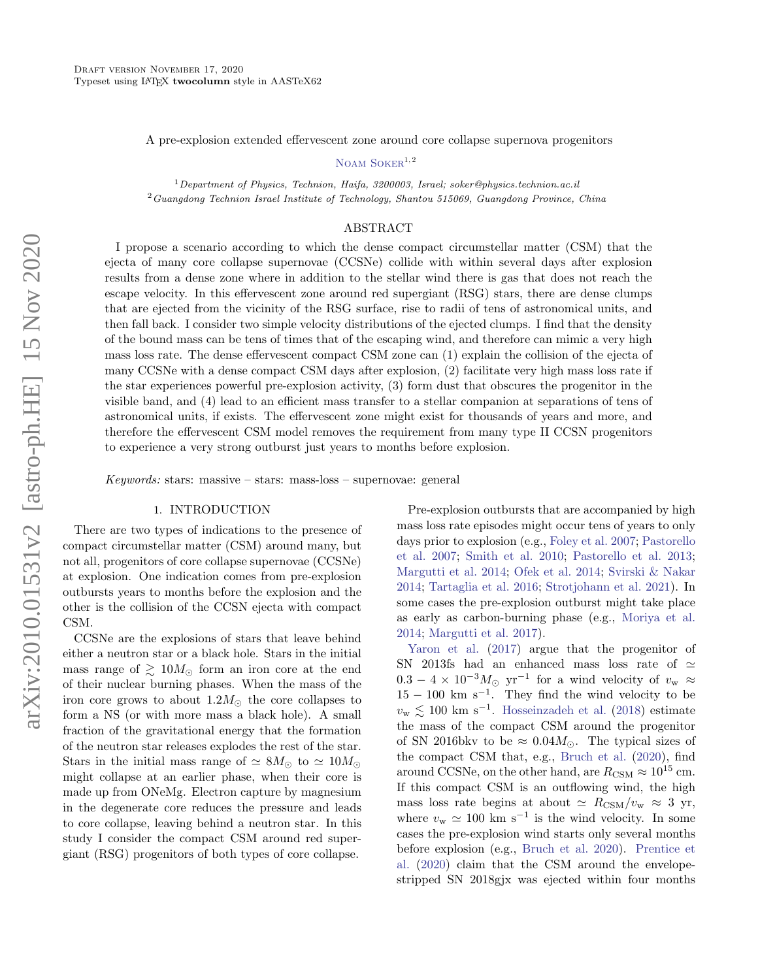A pre-explosion extended effervescent zone around core collapse supernova progenitors

NOAM SOKER $^{1,2}$ 

 $1$ Department of Physics, Technion, Haifa, 3200003, Israel; soker@physics.technion.ac.il <sup>2</sup>Guangdong Technion Israel Institute of Technology, Shantou 515069, Guangdong Province, China

#### ABSTRACT

I propose a scenario according to which the dense compact circumstellar matter (CSM) that the ejecta of many core collapse supernovae (CCSNe) collide with within several days after explosion results from a dense zone where in addition to the stellar wind there is gas that does not reach the escape velocity. In this effervescent zone around red supergiant (RSG) stars, there are dense clumps that are ejected from the vicinity of the RSG surface, rise to radii of tens of astronomical units, and then fall back. I consider two simple velocity distributions of the ejected clumps. I find that the density of the bound mass can be tens of times that of the escaping wind, and therefore can mimic a very high mass loss rate. The dense effervescent compact CSM zone can (1) explain the collision of the ejecta of many CCSNe with a dense compact CSM days after explosion, (2) facilitate very high mass loss rate if the star experiences powerful pre-explosion activity, (3) form dust that obscures the progenitor in the visible band, and (4) lead to an efficient mass transfer to a stellar companion at separations of tens of astronomical units, if exists. The effervescent zone might exist for thousands of years and more, and therefore the effervescent CSM model removes the requirement from many type II CCSN progenitors to experience a very strong outburst just years to months before explosion.

Keywords: stars: massive – stars: mass-loss – supernovae: general

# 1. INTRODUCTION

<span id="page-0-0"></span>There are two types of indications to the presence of compact circumstellar matter (CSM) around many, but not all, progenitors of core collapse supernovae (CCSNe) at explosion. One indication comes from pre-explosion outbursts years to months before the explosion and the other is the collision of the CCSN ejecta with compact CSM.

CCSNe are the explosions of stars that leave behind either a neutron star or a black hole. Stars in the initial mass range of  $\geq 10M_{\odot}$  form an iron core at the end of their nuclear burning phases. When the mass of the iron core grows to about  $1.2M_{\odot}$  the core collapses to form a NS (or with more mass a black hole). A small fraction of the gravitational energy that the formation of the neutron star releases explodes the rest of the star. Stars in the initial mass range of  $\simeq 8M_{\odot}$  to  $\simeq 10M_{\odot}$ might collapse at an earlier phase, when their core is made up from ONeMg. Electron capture by magnesium in the degenerate core reduces the pressure and leads to core collapse, leaving behind a neutron star. In this study I consider the compact CSM around red supergiant (RSG) progenitors of both types of core collapse.

Pre-explosion outbursts that are accompanied by high mass loss rate episodes might occur tens of years to only days prior to explosion (e.g., [Foley et al.](#page-7-0) [2007;](#page-7-0) [Pastorello](#page-7-1) [et al.](#page-7-1) [2007;](#page-7-1) [Smith et al.](#page-7-2) [2010;](#page-7-2) [Pastorello et al.](#page-7-3) [2013;](#page-7-3) [Margutti et al.](#page-7-4) [2014;](#page-7-4) [Ofek et al.](#page-7-5) [2014;](#page-7-5) [Svirski & Nakar](#page-7-6) [2014;](#page-7-6) [Tartaglia et al.](#page-7-7) [2016;](#page-7-7) [Strotjohann et al.](#page-7-8) [2021\)](#page-7-8). In some cases the pre-explosion outburst might take place as early as carbon-burning phase (e.g., [Moriya et al.](#page-7-9) [2014;](#page-7-9) [Margutti et al.](#page-7-10) [2017\)](#page-7-10).

[Yaron et al.](#page-7-11) [\(2017\)](#page-7-11) argue that the progenitor of SN 2013fs had an enhanced mass loss rate of  $\simeq$  $0.3 - 4 \times 10^{-3} M_{\odot}$  yr<sup>-1</sup> for a wind velocity of  $v_{\rm w} \approx$  $15 - 100$  km s<sup>-1</sup>. They find the wind velocity to be  $v_{\rm w}$   $\lesssim$  100 km s<sup>-1</sup>. [Hosseinzadeh et al.](#page-7-12) [\(2018\)](#page-7-12) estimate the mass of the compact CSM around the progenitor of SN 2016bkv to be  $\approx 0.04 M_{\odot}$ . The typical sizes of the compact CSM that, e.g., [Bruch et al.](#page-6-0) [\(2020\)](#page-6-0), find around CCSNe, on the other hand, are  $R_{\text{CSM}} \approx 10^{15}$  cm. If this compact CSM is an outflowing wind, the high mass loss rate begins at about  $\simeq R_{\text{CSM}}/v_{\text{w}} \approx 3 \text{ yr}$ , where  $v_{\rm w} \simeq 100 \text{ km s}^{-1}$  is the wind velocity. In some cases the pre-explosion wind starts only several months before explosion (e.g., [Bruch et al.](#page-6-0) [2020\)](#page-6-0). [Prentice et](#page-7-13) [al.](#page-7-13) [\(2020\)](#page-7-13) claim that the CSM around the envelopestripped SN 2018gjx was ejected within four months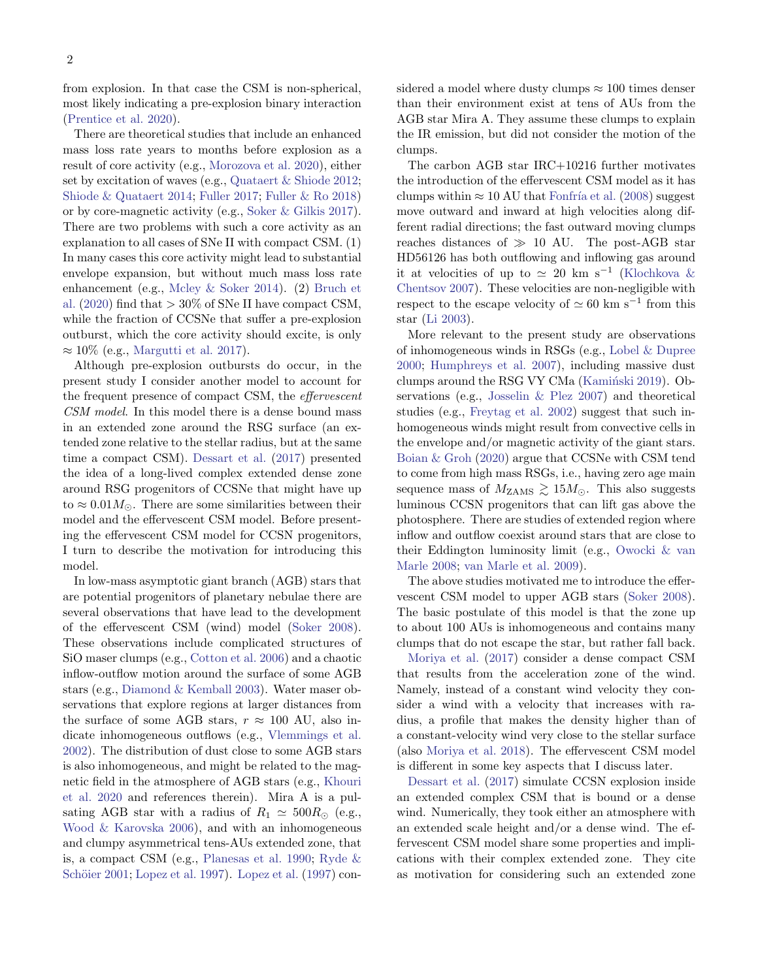from explosion. In that case the CSM is non-spherical, most likely indicating a pre-explosion binary interaction [\(Prentice et al.](#page-7-13) [2020\)](#page-7-13).

There are theoretical studies that include an enhanced mass loss rate years to months before explosion as a result of core activity (e.g., [Morozova et al.](#page-7-14) [2020\)](#page-7-14), either set by excitation of waves (e.g., [Quataert & Shiode](#page-7-15) [2012;](#page-7-15) [Shiode & Quataert](#page-7-16) [2014;](#page-7-16) [Fuller](#page-7-17) [2017;](#page-7-17) [Fuller & Ro](#page-7-18) [2018\)](#page-7-18) or by core-magnetic activity (e.g., [Soker & Gilkis](#page-7-19) [2017\)](#page-7-19). There are two problems with such a core activity as an explanation to all cases of SNe II with compact CSM. (1) In many cases this core activity might lead to substantial envelope expansion, but without much mass loss rate enhancement (e.g., [Mcley & Soker](#page-7-20) [2014\)](#page-7-20). (2) [Bruch et](#page-6-0) [al.](#page-6-0) [\(2020\)](#page-6-0) find that  $> 30\%$  of SNe II have compact CSM, while the fraction of CCSNe that suffer a pre-explosion outburst, which the core activity should excite, is only  $\approx 10\%$  (e.g., [Margutti et al.](#page-7-10) [2017\)](#page-7-10).

Although pre-explosion outbursts do occur, in the present study I consider another model to account for the frequent presence of compact CSM, the effervescent CSM model. In this model there is a dense bound mass in an extended zone around the RSG surface (an extended zone relative to the stellar radius, but at the same time a compact CSM). [Dessart et al.](#page-7-21) [\(2017\)](#page-7-21) presented the idea of a long-lived complex extended dense zone around RSG progenitors of CCSNe that might have up to  $\approx 0.01 M_{\odot}$ . There are some similarities between their model and the effervescent CSM model. Before presenting the effervescent CSM model for CCSN progenitors, I turn to describe the motivation for introducing this model.

In low-mass asymptotic giant branch (AGB) stars that are potential progenitors of planetary nebulae there are several observations that have lead to the development of the effervescent CSM (wind) model [\(Soker](#page-7-22) [2008\)](#page-7-22). These observations include complicated structures of SiO maser clumps (e.g., [Cotton et al.](#page-6-1) [2006\)](#page-6-1) and a chaotic inflow-outflow motion around the surface of some AGB stars (e.g., [Diamond & Kemball](#page-7-23) [2003\)](#page-7-23). Water maser observations that explore regions at larger distances from the surface of some AGB stars,  $r \approx 100$  AU, also indicate inhomogeneous outflows (e.g., [Vlemmings et al.](#page-7-24) [2002\)](#page-7-24). The distribution of dust close to some AGB stars is also inhomogeneous, and might be related to the magnetic field in the atmosphere of AGB stars (e.g., [Khouri](#page-7-25) [et al.](#page-7-25) [2020](#page-7-25) and references therein). Mira A is a pulsating AGB star with a radius of  $R_1 \simeq 500 R_{\odot}$  (e.g., [Wood & Karovska](#page-7-26) [2006\)](#page-7-26), and with an inhomogeneous and clumpy asymmetrical tens-AUs extended zone, that is, a compact CSM (e.g., [Planesas et al.](#page-7-27) [1990;](#page-7-27) [Ryde &](#page-7-28) Schöier [2001;](#page-7-28) [Lopez et al.](#page-7-29) [1997\)](#page-7-29). Lopez et al. [\(1997\)](#page-7-29) considered a model where dusty clumps  $\approx 100$  times denser than their environment exist at tens of AUs from the AGB star Mira A. They assume these clumps to explain the IR emission, but did not consider the motion of the clumps.

The carbon AGB star IRC+10216 further motivates the introduction of the effervescent CSM model as it has clumps within  $\approx 10$  AU that Fonfría et al. [\(2008\)](#page-7-30) suggest move outward and inward at high velocities along different radial directions; the fast outward moving clumps reaches distances of  $\gg 10$  AU. The post-AGB star HD56126 has both outflowing and inflowing gas around it at velocities of up to  $\simeq 20$  km s<sup>-1</sup> [\(Klochkova &](#page-7-31) [Chentsov](#page-7-31) [2007\)](#page-7-31). These velocities are non-negligible with respect to the escape velocity of  $\simeq 60$  km s<sup>-1</sup> from this star [\(Li](#page-7-32) [2003\)](#page-7-32).

More relevant to the present study are observations of inhomogeneous winds in RSGs (e.g., [Lobel & Dupree](#page-7-33) [2000;](#page-7-33) [Humphreys et al.](#page-7-34) [2007\)](#page-7-34), including massive dust clumps around the RSG VY CMa (Kamiński [2019\)](#page-7-35). Observations (e.g., [Josselin & Plez](#page-7-36) [2007\)](#page-7-36) and theoretical studies (e.g., [Freytag et al.](#page-7-37) [2002\)](#page-7-37) suggest that such inhomogeneous winds might result from convective cells in the envelope and/or magnetic activity of the giant stars. [Boian & Groh](#page-6-2) [\(2020\)](#page-6-2) argue that CCSNe with CSM tend to come from high mass RSGs, i.e., having zero age main sequence mass of  $M_{\rm ZAMS} \gtrsim 15 M_{\odot}$ . This also suggests luminous CCSN progenitors that can lift gas above the photosphere. There are studies of extended region where inflow and outflow coexist around stars that are close to their Eddington luminosity limit (e.g., [Owocki & van](#page-7-38) [Marle](#page-7-38) [2008;](#page-7-38) [van Marle et al.](#page-7-39) [2009\)](#page-7-39).

The above studies motivated me to introduce the effervescent CSM model to upper AGB stars [\(Soker](#page-7-22) [2008\)](#page-7-22). The basic postulate of this model is that the zone up to about 100 AUs is inhomogeneous and contains many clumps that do not escape the star, but rather fall back.

[Moriya et al.](#page-7-40) [\(2017\)](#page-7-40) consider a dense compact CSM that results from the acceleration zone of the wind. Namely, instead of a constant wind velocity they consider a wind with a velocity that increases with radius, a profile that makes the density higher than of a constant-velocity wind very close to the stellar surface (also [Moriya et al.](#page-7-41) [2018\)](#page-7-41). The effervescent CSM model is different in some key aspects that I discuss later.

[Dessart et al.](#page-7-21) [\(2017\)](#page-7-21) simulate CCSN explosion inside an extended complex CSM that is bound or a dense wind. Numerically, they took either an atmosphere with an extended scale height and/or a dense wind. The effervescent CSM model share some properties and implications with their complex extended zone. They cite as motivation for considering such an extended zone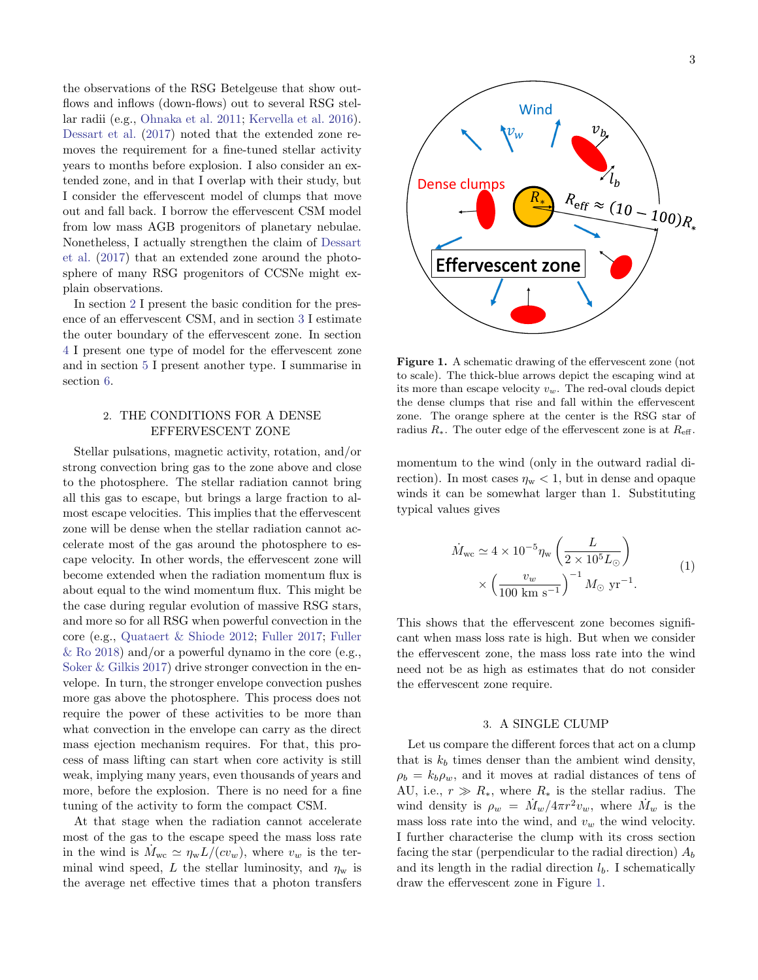the observations of the RSG Betelgeuse that show outflows and inflows (down-flows) out to several RSG stellar radii (e.g., [Ohnaka et al.](#page-7-42) [2011;](#page-7-42) [Kervella et al.](#page-7-43) [2016\)](#page-7-43). [Dessart et al.](#page-7-21) [\(2017\)](#page-7-21) noted that the extended zone removes the requirement for a fine-tuned stellar activity years to months before explosion. I also consider an extended zone, and in that I overlap with their study, but I consider the effervescent model of clumps that move out and fall back. I borrow the effervescent CSM model from low mass AGB progenitors of planetary nebulae. Nonetheless, I actually strengthen the claim of [Dessart](#page-7-21) [et al.](#page-7-21) [\(2017\)](#page-7-21) that an extended zone around the photosphere of many RSG progenitors of CCSNe might explain observations.

In section [2](#page-2-0) I present the basic condition for the presence of an effervescent CSM, and in section [3](#page-2-1) I estimate the outer boundary of the effervescent zone. In section [4](#page-4-0) I present one type of model for the effervescent zone and in section [5](#page-5-0) I present another type. I summarise in section [6.](#page-5-1)

# <span id="page-2-0"></span>2. THE CONDITIONS FOR A DENSE EFFERVESCENT ZONE

Stellar pulsations, magnetic activity, rotation, and/or strong convection bring gas to the zone above and close to the photosphere. The stellar radiation cannot bring all this gas to escape, but brings a large fraction to almost escape velocities. This implies that the effervescent zone will be dense when the stellar radiation cannot accelerate most of the gas around the photosphere to escape velocity. In other words, the effervescent zone will become extended when the radiation momentum flux is about equal to the wind momentum flux. This might be the case during regular evolution of massive RSG stars, and more so for all RSG when powerful convection in the core (e.g., [Quataert & Shiode](#page-7-15) [2012;](#page-7-15) [Fuller](#page-7-17) [2017;](#page-7-17) [Fuller](#page-7-18)  $\&$  Ro [2018\)](#page-7-18) and/or a powerful dynamo in the core (e.g., [Soker & Gilkis](#page-7-19) [2017\)](#page-7-19) drive stronger convection in the envelope. In turn, the stronger envelope convection pushes more gas above the photosphere. This process does not require the power of these activities to be more than what convection in the envelope can carry as the direct mass ejection mechanism requires. For that, this process of mass lifting can start when core activity is still weak, implying many years, even thousands of years and more, before the explosion. There is no need for a fine tuning of the activity to form the compact CSM.

At that stage when the radiation cannot accelerate most of the gas to the escape speed the mass loss rate in the wind is  $M_{\text{wc}} \simeq \eta_{\text{w}} L/(cv_w)$ , where  $v_w$  is the terminal wind speed, L the stellar luminosity, and  $\eta_w$  is the average net effective times that a photon transfers



<span id="page-2-2"></span>Figure 1. A schematic drawing of the effervescent zone (not to scale). The thick-blue arrows depict the escaping wind at its more than escape velocity  $v_w$ . The red-oval clouds depict the dense clumps that rise and fall within the effervescent zone. The orange sphere at the center is the RSG star of radius  $R_*$ . The outer edge of the effervescent zone is at  $R_{\text{eff}}$ .

**Effervescent zone** 

momentum to the wind (only in the outward radial direction). In most cases  $\eta_w < 1$ , but in dense and opaque winds it can be somewhat larger than 1. Substituting typical values gives

<span id="page-2-3"></span>
$$
\dot{M}_{\text{wc}} \simeq 4 \times 10^{-5} \eta_{\text{w}} \left( \frac{L}{2 \times 10^5 L_{\odot}} \right) \times \left( \frac{v_w}{100 \text{ km s}^{-1}} \right)^{-1} M_{\odot} \text{ yr}^{-1}.
$$
\n(1)

This shows that the effervescent zone becomes significant when mass loss rate is high. But when we consider the effervescent zone, the mass loss rate into the wind need not be as high as estimates that do not consider the effervescent zone require.

## 3. A SINGLE CLUMP

<span id="page-2-1"></span>Let us compare the different forces that act on a clump that is  $k_b$  times denser than the ambient wind density,  $\rho_b = k_b \rho_w$ , and it moves at radial distances of tens of AU, i.e.,  $r \gg R_*$ , where  $R_*$  is the stellar radius. The wind density is  $\rho_w = M_w / 4 \pi r^2 v_w$ , where  $M_w$  is the mass loss rate into the wind, and  $v_w$  the wind velocity. I further characterise the clump with its cross section facing the star (perpendicular to the radial direction)  $A_b$ and its length in the radial direction  $l_b$ . I schematically draw the effervescent zone in Figure [1.](#page-2-2)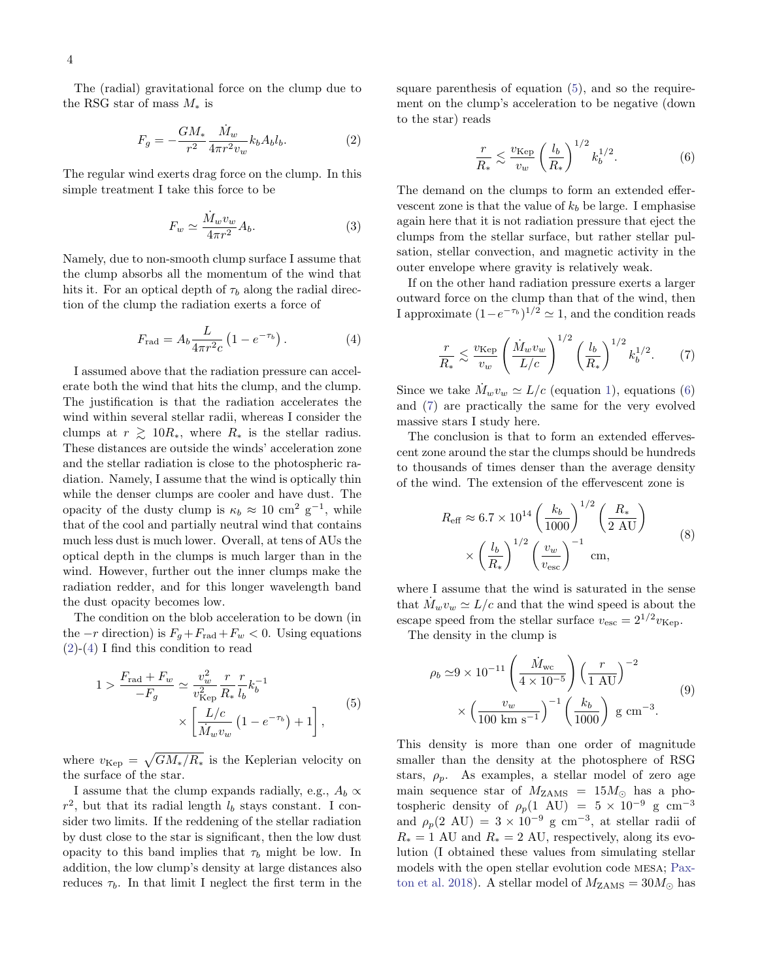The (radial) gravitational force on the clump due to the RSG star of mass  $M_*$  is

<span id="page-3-0"></span>
$$
F_g = -\frac{GM_*}{r^2} \frac{\dot{M}_w}{4\pi r^2 v_w} k_b A_b l_b. \tag{2}
$$

The regular wind exerts drag force on the clump. In this simple treatment I take this force to be

$$
F_w \simeq \frac{\dot{M}_w v_w}{4\pi r^2} A_b.
$$
\n(3)

Namely, due to non-smooth clump surface I assume that the clump absorbs all the momentum of the wind that hits it. For an optical depth of  $\tau_b$  along the radial direction of the clump the radiation exerts a force of

$$
F_{\rm rad} = A_b \frac{L}{4\pi r^2 c} \left( 1 - e^{-\tau_b} \right). \tag{4}
$$

I assumed above that the radiation pressure can accelerate both the wind that hits the clump, and the clump. The justification is that the radiation accelerates the wind within several stellar radii, whereas I consider the clumps at  $r \geq 10R_{*}$ , where  $R_{*}$  is the stellar radius. These distances are outside the winds' acceleration zone and the stellar radiation is close to the photospheric radiation. Namely, I assume that the wind is optically thin while the denser clumps are cooler and have dust. The opacity of the dusty clump is  $\kappa_b \approx 10 \text{ cm}^2 \text{ g}^{-1}$ , while that of the cool and partially neutral wind that contains much less dust is much lower. Overall, at tens of AUs the optical depth in the clumps is much larger than in the wind. However, further out the inner clumps make the radiation redder, and for this longer wavelength band the dust opacity becomes low.

The condition on the blob acceleration to be down (in the  $-r$  direction) is  $F_q + F_{rad} + F_w < 0$ . Using equations  $(2)-(4)$  $(2)-(4)$  $(2)-(4)$  I find this condition to read

<span id="page-3-2"></span>
$$
1 > \frac{F_{\text{rad}} + F_w}{-F_g} \simeq \frac{v_w^2}{v_{\text{Kep}}^2} \frac{r}{R_*} \frac{r}{l_b} k_b^{-1} \times \left[ \frac{L/c}{\dot{M}_w v_w} \left( 1 - e^{-\tau_b} \right) + 1 \right], \tag{5}
$$

where  $v_{\text{Kep}} = \sqrt{GM_*/R_*}$  is the Keplerian velocity on the surface of the star.

I assume that the clump expands radially, e.g.,  $A_b \propto$  $r^2$ , but that its radial length  $l_b$  stays constant. I consider two limits. If the reddening of the stellar radiation by dust close to the star is significant, then the low dust opacity to this band implies that  $\tau_b$  might be low. In addition, the low clump's density at large distances also reduces  $\tau_b$ . In that limit I neglect the first term in the

square parenthesis of equation [\(5\)](#page-3-2), and so the requirement on the clump's acceleration to be negative (down to the star) reads

<span id="page-3-3"></span>
$$
\frac{r}{R_*} \lesssim \frac{v_{\text{Kep}}}{v_w} \left(\frac{l_b}{R_*}\right)^{1/2} k_b^{1/2}.\tag{6}
$$

The demand on the clumps to form an extended effervescent zone is that the value of  $k_b$  be large. I emphasise again here that it is not radiation pressure that eject the clumps from the stellar surface, but rather stellar pulsation, stellar convection, and magnetic activity in the outer envelope where gravity is relatively weak.

<span id="page-3-4"></span><span id="page-3-1"></span>If on the other hand radiation pressure exerts a larger outward force on the clump than that of the wind, then I approximate  $(1-e^{-\tau_b})^{1/2} \approx 1$ , and the condition reads

$$
\frac{r}{R_*} \lesssim \frac{v_{\rm Kep}}{v_w} \left( \frac{\dot{M}_w v_w}{L/c} \right)^{1/2} \left( \frac{l_b}{R_*} \right)^{1/2} k_b^{1/2}.
$$
 (7)

Since we take  $\dot{M}_w v_w \simeq L/c$  (equation [1\)](#page-2-3), equations [\(6\)](#page-3-3) and [\(7\)](#page-3-4) are practically the same for the very evolved massive stars I study here.

The conclusion is that to form an extended effervescent zone around the star the clumps should be hundreds to thousands of times denser than the average density of the wind. The extension of the effervescent zone is

<span id="page-3-5"></span>
$$
R_{\text{eff}} \approx 6.7 \times 10^{14} \left(\frac{k_b}{1000}\right)^{1/2} \left(\frac{R_*}{2 \text{ AU}}\right)
$$

$$
\times \left(\frac{l_b}{R_*}\right)^{1/2} \left(\frac{v_w}{v_{\text{esc}}}\right)^{-1} \text{ cm},\tag{8}
$$

where I assume that the wind is saturated in the sense that  $\dot{M}_w v_w \simeq L/c$  and that the wind speed is about the escape speed from the stellar surface  $v_{\rm esc} = 2^{1/2} v_{\rm Ken}$ .

The density in the clump is

$$
\rho_b \simeq 9 \times 10^{-11} \left( \frac{\dot{M}_{\rm wc}}{4 \times 10^{-5}} \right) \left( \frac{r}{1 \text{ AU}} \right)^{-2} \times \left( \frac{v_w}{100 \text{ km s}^{-1}} \right)^{-1} \left( \frac{k_b}{1000} \right) \text{ g cm}^{-3}.
$$
\n(9)

This density is more than one order of magnitude smaller than the density at the photosphere of RSG stars,  $\rho_p$ . As examples, a stellar model of zero age main sequence star of  $M_{\text{ZAMS}} = 15 M_{\odot}$  has a photospheric density of  $\rho_p(1 \text{ AU}) = 5 \times 10^{-9} \text{ g cm}^{-3}$ and  $\rho_p(2 \text{ AU}) = 3 \times 10^{-9} \text{ g cm}^{-3}$ , at stellar radii of  $R_* = 1$  AU and  $R_* = 2$  AU, respectively, along its evolution (I obtained these values from simulating stellar models with the open stellar evolution code mesa; [Pax](#page-7-44)[ton et al.](#page-7-44) [2018\)](#page-7-44). A stellar model of  $M_{\text{ZAMS}} = 30 M_{\odot}$  has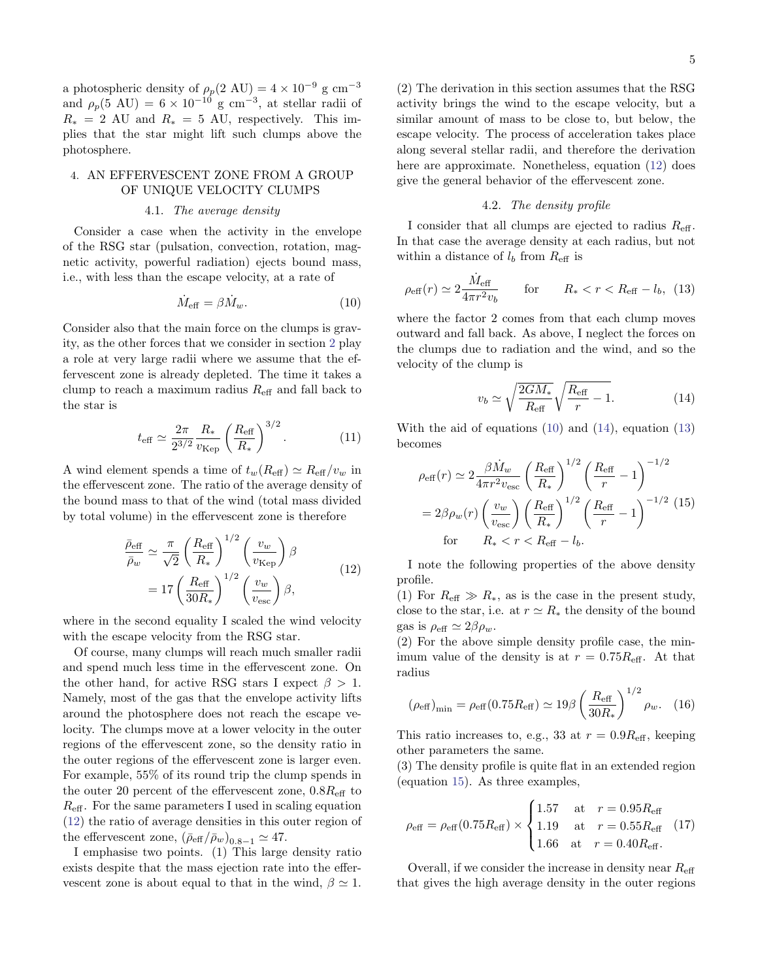a photospheric density of  $\rho_p(2 \text{ AU}) = 4 \times 10^{-9} \text{ g cm}^{-3}$ and  $\rho_p(5 \text{ AU}) = 6 \times 10^{-10} \text{ g cm}^{-3}$ , at stellar radii of  $R_* = 2$  AU and  $R_* = 5$  AU, respectively. This implies that the star might lift such clumps above the photosphere.

# <span id="page-4-0"></span>4. AN EFFERVESCENT ZONE FROM A GROUP OF UNIQUE VELOCITY CLUMPS

#### 4.1. The average density

Consider a case when the activity in the envelope of the RSG star (pulsation, convection, rotation, magnetic activity, powerful radiation) ejects bound mass, i.e., with less than the escape velocity, at a rate of

$$
\dot{M}_{\text{eff}} = \beta \dot{M}_w. \tag{10}
$$

Consider also that the main force on the clumps is gravity, as the other forces that we consider in section [2](#page-2-0) play a role at very large radii where we assume that the effervescent zone is already depleted. The time it takes a clump to reach a maximum radius  $R_{\text{eff}}$  and fall back to the star is

$$
t_{\text{eff}} \simeq \frac{2\pi}{2^{3/2}} \frac{R_*}{v_{\text{Kep}}} \left(\frac{R_{\text{eff}}}{R_*}\right)^{3/2}.
$$
 (11)

A wind element spends a time of  $t_w(R_{\text{eff}}) \simeq R_{\text{eff}}/v_w$  in the effervescent zone. The ratio of the average density of the bound mass to that of the wind (total mass divided by total volume) in the effervescent zone is therefore

<span id="page-4-1"></span>
$$
\frac{\bar{\rho}_{\text{eff}}}{\bar{\rho}_w} \simeq \frac{\pi}{\sqrt{2}} \left(\frac{R_{\text{eff}}}{R_*}\right)^{1/2} \left(\frac{v_w}{v_{\text{Kep}}}\right) \beta \n= 17 \left(\frac{R_{\text{eff}}}{30R_*}\right)^{1/2} \left(\frac{v_w}{v_{\text{esc}}}\right) \beta,
$$
\n(12)

where in the second equality I scaled the wind velocity with the escape velocity from the RSG star.

Of course, many clumps will reach much smaller radii and spend much less time in the effervescent zone. On the other hand, for active RSG stars I expect  $\beta > 1$ . Namely, most of the gas that the envelope activity lifts around the photosphere does not reach the escape velocity. The clumps move at a lower velocity in the outer regions of the effervescent zone, so the density ratio in the outer regions of the effervescent zone is larger even. For example, 55% of its round trip the clump spends in the outer 20 percent of the effervescent zone,  $0.8R_{\text{eff}}$  to  $R_{\text{eff}}$ . For the same parameters I used in scaling equation [\(12\)](#page-4-1) the ratio of average densities in this outer region of the effervescent zone,  $(\bar{\rho}_{\text{eff}}/\bar{\rho}_w)_{0.8-1} \simeq 47$ .

I emphasise two points. (1) This large density ratio exists despite that the mass ejection rate into the effervescent zone is about equal to that in the wind,  $\beta \simeq 1$ . (2) The derivation in this section assumes that the RSG activity brings the wind to the escape velocity, but a similar amount of mass to be close to, but below, the escape velocity. The process of acceleration takes place along several stellar radii, and therefore the derivation here are approximate. Nonetheless, equation [\(12\)](#page-4-1) does give the general behavior of the effervescent zone.

# <span id="page-4-4"></span>4.2. The density profile

I consider that all clumps are ejected to radius  $R_{\text{eff}}$ . In that case the average density at each radius, but not within a distance of  $l_b$  from  $R_{\text{eff}}$  is

<span id="page-4-2"></span>
$$
\rho_{\text{eff}}(r) \simeq 2 \frac{\dot{M}_{\text{eff}}}{4\pi r^2 v_b} \qquad \text{for} \qquad R_* < r < R_{\text{eff}} - l_b, \tag{13}
$$

where the factor 2 comes from that each clump moves outward and fall back. As above, I neglect the forces on the clumps due to radiation and the wind, and so the velocity of the clump is

<span id="page-4-3"></span>
$$
v_b \simeq \sqrt{\frac{2GM_*}{R_{\text{eff}}}} \sqrt{\frac{R_{\text{eff}}}{r} - 1}.
$$
 (14)

With the aid of equations [\(10\)](#page-4-2) and [\(14\)](#page-4-3), equation [\(13\)](#page-4-4) becomes

<span id="page-4-5"></span>
$$
\rho_{\text{eff}}(r) \simeq 2 \frac{\beta \dot{M}_{w}}{4\pi r^{2} v_{\text{esc}}} \left(\frac{R_{\text{eff}}}{R_{*}}\right)^{1/2} \left(\frac{R_{\text{eff}}}{r} - 1\right)^{-1/2}
$$

$$
= 2\beta \rho_{w}(r) \left(\frac{v_{w}}{v_{\text{esc}}}\right) \left(\frac{R_{\text{eff}}}{R_{*}}\right)^{1/2} \left(\frac{R_{\text{eff}}}{r} - 1\right)^{-1/2} (15)
$$
for  $R_{*} < r < R_{\text{eff}} - l_{b}$ .

I note the following properties of the above density profile.

(1) For  $R_{\text{eff}} \gg R_*$ , as is the case in the present study, close to the star, i.e. at  $r \simeq R_*$  the density of the bound gas is  $\rho_{\text{eff}} \simeq 2\beta \rho_w$ .

(2) For the above simple density profile case, the minimum value of the density is at  $r = 0.75R<sub>eff</sub>$ . At that radius

<span id="page-4-6"></span>
$$
(\rho_{\text{eff}})_{\text{min}} = \rho_{\text{eff}}(0.75R_{\text{eff}}) \simeq 19\beta \left(\frac{R_{\text{eff}}}{30R_*}\right)^{1/2} \rho_w. (16)
$$

This ratio increases to, e.g., 33 at  $r = 0.9R_{\text{eff}}$ , keeping other parameters the same.

(3) The density profile is quite flat in an extended region (equation [15\)](#page-4-5). As three examples,

<span id="page-4-7"></span>
$$
\rho_{\text{eff}} = \rho_{\text{eff}}(0.75R_{\text{eff}}) \times \begin{cases} 1.57 & \text{at } r = 0.95R_{\text{eff}} \\ 1.19 & \text{at } r = 0.55R_{\text{eff}} \\ 1.66 & \text{at } r = 0.40R_{\text{eff}}. \end{cases}
$$
(17)

Overall, if we consider the increase in density near  $R_{\text{eff}}$ that gives the high average density in the outer regions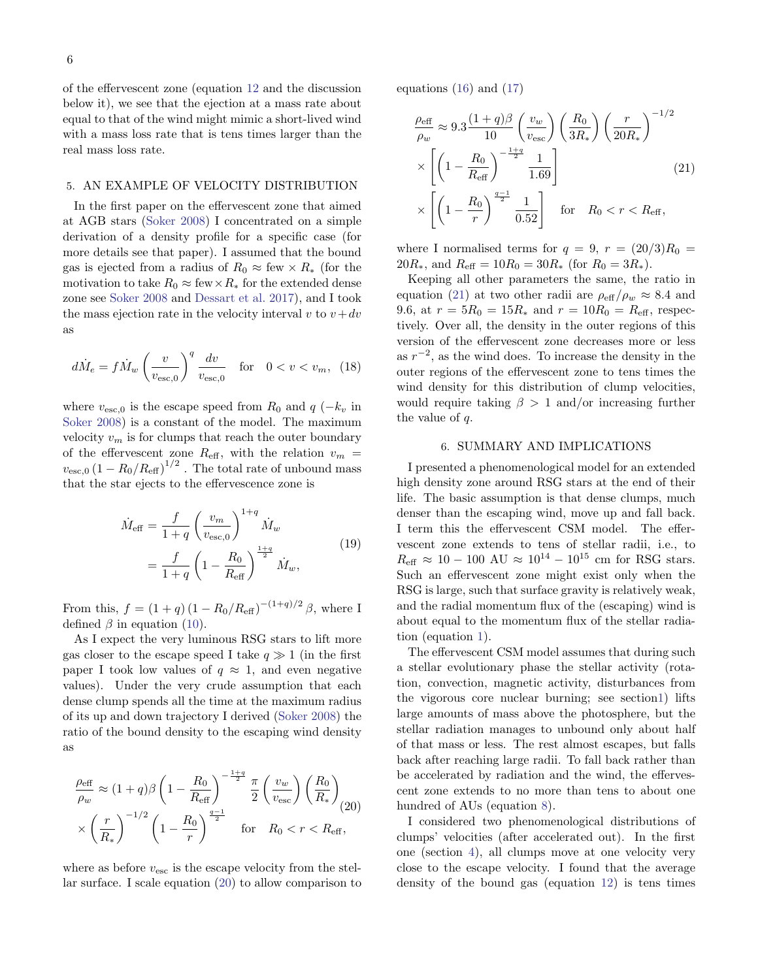of the effervescent zone (equation [12](#page-4-1) and the discussion below it), we see that the ejection at a mass rate about equal to that of the wind might mimic a short-lived wind with a mass loss rate that is tens times larger than the real mass loss rate.

# <span id="page-5-0"></span>5. AN EXAMPLE OF VELOCITY DISTRIBUTION

In the first paper on the effervescent zone that aimed at AGB stars [\(Soker](#page-7-22) [2008\)](#page-7-22) I concentrated on a simple derivation of a density profile for a specific case (for more details see that paper). I assumed that the bound gas is ejected from a radius of  $R_0 \approx \text{few} \times R_*$  (for the motivation to take  $R_0 \approx \text{few} \times R_*$  for the extended dense zone see [Soker](#page-7-22) [2008](#page-7-22) and [Dessart et al.](#page-7-21) [2017\)](#page-7-21), and I took the mass ejection rate in the velocity interval v to  $v+dv$ as

<span id="page-5-4"></span>
$$
d\dot{M}_e = f\dot{M}_w \left(\frac{v}{v_{\text{esc,0}}}\right)^q \frac{dv}{v_{\text{esc,0}}} \quad \text{for} \quad 0 < v < v_m, \tag{18}
$$

where  $v_{\text{esc},0}$  is the escape speed from  $R_0$  and  $q(-k_v)$  in [Soker](#page-7-22) [2008\)](#page-7-22) is a constant of the model. The maximum velocity  $v_m$  is for clumps that reach the outer boundary of the effervescent zone  $R_{\text{eff}}$ , with the relation  $v_m$  =  $v_{\rm esc,0}\left(1-R_0/R_{\rm eff}\right)^{1/2}$  . The total rate of unbound mass that the star ejects to the effervescence zone is

$$
\dot{M}_{\text{eff}} = \frac{f}{1+q} \left(\frac{v_m}{v_{\text{esc},0}}\right)^{1+q} \dot{M}_w \n= \frac{f}{1+q} \left(1 - \frac{R_0}{R_{\text{eff}}}\right)^{\frac{1+q}{2}} \dot{M}_w,
$$
\n(19)

From this,  $f = (1+q)(1-R_0/R_{\text{eff}})^{-(1+q)/2} \beta$ , where I defined  $\beta$  in equation [\(10\)](#page-4-2).

As I expect the very luminous RSG stars to lift more gas closer to the escape speed I take  $q \gg 1$  (in the first paper I took low values of  $q \approx 1$ , and even negative values). Under the very crude assumption that each dense clump spends all the time at the maximum radius of its up and down trajectory I derived [\(Soker](#page-7-22) [2008\)](#page-7-22) the ratio of the bound density to the escaping wind density as

<span id="page-5-2"></span>
$$
\frac{\rho_{\text{eff}}}{\rho_w} \approx (1+q)\beta \left(1 - \frac{R_0}{R_{\text{eff}}}\right)^{-\frac{1+q}{2}} \frac{\pi}{2} \left(\frac{v_w}{v_{\text{esc}}}\right) \left(\frac{R_0}{R_*}\right) \times \left(\frac{r}{R_*}\right)^{-1/2} \left(1 - \frac{R_0}{r}\right)^{\frac{q-1}{2}} \quad \text{for} \quad R_0 < r < R_{\text{eff}},
$$

where as before  $v_{\text{esc}}$  is the escape velocity from the stellar surface. I scale equation [\(20\)](#page-5-2) to allow comparison to equations  $(16)$  and  $(17)$ 

<span id="page-5-3"></span>
$$
\frac{\rho_{\text{eff}}}{\rho_w} \approx 9.3 \frac{(1+q)\beta}{10} \left(\frac{v_w}{v_{\text{esc}}}\right) \left(\frac{R_0}{3R_*}\right) \left(\frac{r}{20R_*}\right)^{-1/2} \times \left[ \left(1 - \frac{R_0}{R_{\text{eff}}}\right)^{-\frac{1+q}{2}} \frac{1}{1.69} \right] \times \left[ \left(1 - \frac{R_0}{r}\right)^{\frac{q-1}{2}} \frac{1}{0.52} \right] \quad \text{for} \quad R_0 < r < R_{\text{eff}},
$$
\n(21)

where I normalised terms for  $q = 9, r = (20/3)R_0$  $20R_*,$  and  $R_{\text{eff}} = 10R_0 = 30R_*$  (for  $R_0 = 3R_*$ ).

Keeping all other parameters the same, the ratio in equation [\(21\)](#page-5-3) at two other radii are  $\rho_{\text{eff}}/\rho_w \approx 8.4$  and 9.6, at  $r = 5R_0 = 15R_*$  and  $r = 10R_0 = R_{\text{eff}}$ , respectively. Over all, the density in the outer regions of this version of the effervescent zone decreases more or less as  $r^{-2}$ , as the wind does. To increase the density in the outer regions of the effervescent zone to tens times the wind density for this distribution of clump velocities, would require taking  $\beta > 1$  and/or increasing further the value of q.

### 6. SUMMARY AND IMPLICATIONS

<span id="page-5-1"></span>I presented a phenomenological model for an extended high density zone around RSG stars at the end of their life. The basic assumption is that dense clumps, much denser than the escaping wind, move up and fall back. I term this the effervescent CSM model. The effervescent zone extends to tens of stellar radii, i.e., to  $R_{\text{eff}} \approx 10 - 100 \text{ AU} \approx 10^{14} - 10^{15} \text{ cm}$  for RSG stars. Such an effervescent zone might exist only when the RSG is large, such that surface gravity is relatively weak, and the radial momentum flux of the (escaping) wind is about equal to the momentum flux of the stellar radiation (equation [1\)](#page-2-3).

The effervescent CSM model assumes that during such a stellar evolutionary phase the stellar activity (rotation, convection, magnetic activity, disturbances from the vigorous core nuclear burning; see sectio[n1\)](#page-0-0) lifts large amounts of mass above the photosphere, but the stellar radiation manages to unbound only about half of that mass or less. The rest almost escapes, but falls back after reaching large radii. To fall back rather than be accelerated by radiation and the wind, the effervescent zone extends to no more than tens to about one hundred of AUs (equation [8\)](#page-3-5).

I considered two phenomenological distributions of clumps' velocities (after accelerated out). In the first one (section [4\)](#page-4-0), all clumps move at one velocity very close to the escape velocity. I found that the average density of the bound gas (equation [12\)](#page-4-1) is tens times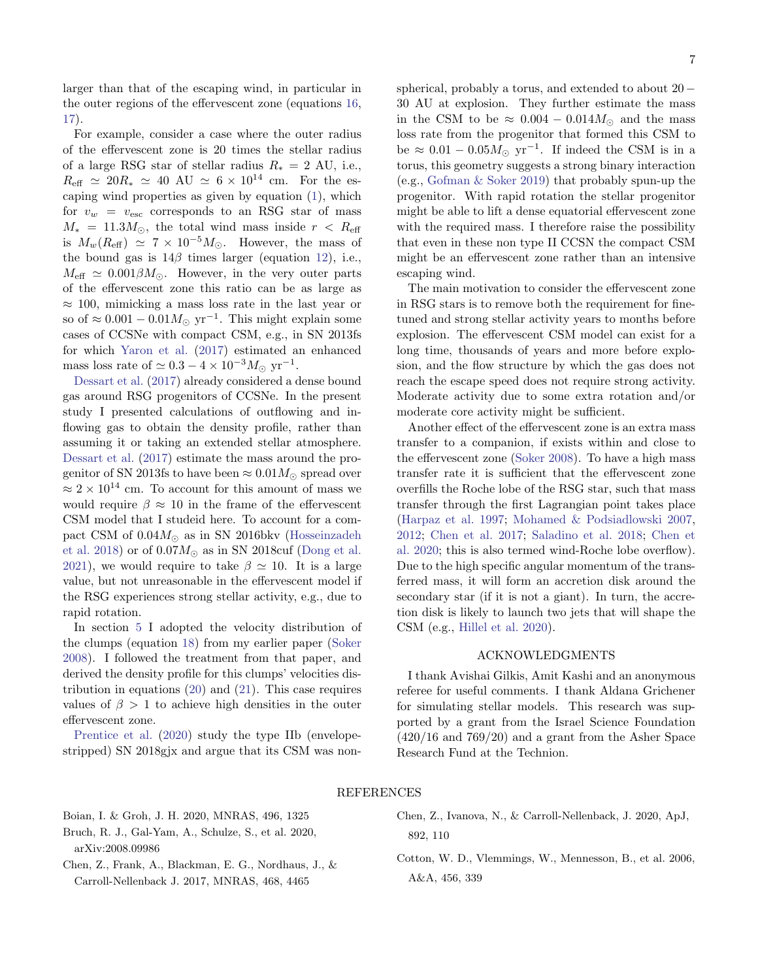larger than that of the escaping wind, in particular in the outer regions of the effervescent zone (equations [16,](#page-4-6) [17\)](#page-4-7).

For example, consider a case where the outer radius of the effervescent zone is 20 times the stellar radius of a large RSG star of stellar radius  $R_* = 2$  AU, i.e.,  $R_{\text{eff}} \simeq 20R_* \simeq 40 \text{ AU} \simeq 6 \times 10^{14} \text{ cm}$ . For the escaping wind properties as given by equation [\(1\)](#page-2-3), which for  $v_w = v_{\text{esc}}$  corresponds to an RSG star of mass  $M_* = 11.3 M_{\odot}$ , the total wind mass inside  $r < R_{\text{eff}}$ is  $M_w(R_{\text{eff}}) \simeq 7 \times 10^{-5} M_{\odot}$ . However, the mass of the bound gas is  $14\beta$  times larger (equation [12\)](#page-4-1), i.e.,  $M_{\text{eff}} \simeq 0.001 \beta M_{\odot}$ . However, in the very outer parts of the effervescent zone this ratio can be as large as  $\approx$  100, mimicking a mass loss rate in the last year or so of  $\approx 0.001 - 0.01 M_{\odot}$  yr<sup>-1</sup>. This might explain some cases of CCSNe with compact CSM, e.g., in SN 2013fs for which [Yaron et al.](#page-7-11) [\(2017\)](#page-7-11) estimated an enhanced mass loss rate of  $\simeq 0.3 - 4 \times 10^{-3} M_{\odot}$  yr<sup>-1</sup>.

[Dessart et al.](#page-7-21) [\(2017\)](#page-7-21) already considered a dense bound gas around RSG progenitors of CCSNe. In the present study I presented calculations of outflowing and inflowing gas to obtain the density profile, rather than assuming it or taking an extended stellar atmosphere. [Dessart et al.](#page-7-21) [\(2017\)](#page-7-21) estimate the mass around the progenitor of SN 2013fs to have been  $\approx 0.01 M_\odot$  spread over  $\approx 2\times 10^{14}$  cm. To account for this amount of mass we would require  $\beta \approx 10$  in the frame of the effervescent CSM model that I studeid here. To account for a compact CSM of  $0.04M_{\odot}$  as in SN 2016bkv [\(Hosseinzadeh](#page-7-12) [et al.](#page-7-12) [2018\)](#page-7-12) or of  $0.07M_{\odot}$  as in SN 2018cuf [\(Dong et al.](#page-7-45) [2021\)](#page-7-45), we would require to take  $\beta \simeq 10$ . It is a large value, but not unreasonable in the effervescent model if the RSG experiences strong stellar activity, e.g., due to rapid rotation.

In section [5](#page-5-0) I adopted the velocity distribution of the clumps (equation [18\)](#page-5-4) from my earlier paper [\(Soker](#page-7-22) [2008\)](#page-7-22). I followed the treatment from that paper, and derived the density profile for this clumps' velocities distribution in equations [\(20\)](#page-5-2) and [\(21\)](#page-5-3). This case requires values of  $\beta > 1$  to achieve high densities in the outer effervescent zone.

[Prentice et al.](#page-7-13) [\(2020\)](#page-7-13) study the type IIb (envelopestripped) SN 2018gjx and argue that its CSM was nonspherical, probably a torus, and extended to about  $20 -$ 30 AU at explosion. They further estimate the mass in the CSM to be  $\approx 0.004 - 0.014 M_{\odot}$  and the mass loss rate from the progenitor that formed this CSM to be  $\approx 0.01 - 0.05 M_{\odot}$  yr<sup>-1</sup>. If indeed the CSM is in a torus, this geometry suggests a strong binary interaction (e.g., [Gofman & Soker](#page-7-46) [2019\)](#page-7-46) that probably spun-up the progenitor. With rapid rotation the stellar progenitor might be able to lift a dense equatorial effervescent zone with the required mass. I therefore raise the possibility that even in these non type II CCSN the compact CSM might be an effervescent zone rather than an intensive escaping wind.

The main motivation to consider the effervescent zone in RSG stars is to remove both the requirement for finetuned and strong stellar activity years to months before explosion. The effervescent CSM model can exist for a long time, thousands of years and more before explosion, and the flow structure by which the gas does not reach the escape speed does not require strong activity. Moderate activity due to some extra rotation and/or moderate core activity might be sufficient.

Another effect of the effervescent zone is an extra mass transfer to a companion, if exists within and close to the effervescent zone [\(Soker](#page-7-22) [2008\)](#page-7-22). To have a high mass transfer rate it is sufficient that the effervescent zone overfills the Roche lobe of the RSG star, such that mass transfer through the first Lagrangian point takes place [\(Harpaz et al.](#page-7-47) [1997;](#page-7-47) [Mohamed & Podsiadlowski](#page-7-48) [2007,](#page-7-48) [2012;](#page-7-49) [Chen et al.](#page-6-3) [2017;](#page-6-3) [Saladino et al.](#page-7-50) [2018;](#page-7-50) [Chen et](#page-6-4) [al.](#page-6-4) [2020;](#page-6-4) this is also termed wind-Roche lobe overflow). Due to the high specific angular momentum of the transferred mass, it will form an accretion disk around the secondary star (if it is not a giant). In turn, the accretion disk is likely to launch two jets that will shape the CSM (e.g., [Hillel et al.](#page-7-51) [2020\)](#page-7-51).

# ACKNOWLEDGMENTS

I thank Avishai Gilkis, Amit Kashi and an anonymous referee for useful comments. I thank Aldana Grichener for simulating stellar models. This research was supported by a grant from the Israel Science Foundation  $(420/16$  and  $769/20$  and a grant from the Asher Space Research Fund at the Technion.

### REFERENCES

<span id="page-6-2"></span>Boian, I. & Groh, J. H. 2020, MNRAS, 496, 1325

- <span id="page-6-0"></span>Bruch, R. J., Gal-Yam, A., Schulze, S., et al. 2020, arXiv:2008.09986
- <span id="page-6-3"></span>Chen, Z., Frank, A., Blackman, E. G., Nordhaus, J., & Carroll-Nellenback J. 2017, MNRAS, 468, 4465
- <span id="page-6-4"></span>Chen, Z., Ivanova, N., & Carroll-Nellenback, J. 2020, ApJ, 892, 110
- <span id="page-6-1"></span>Cotton, W. D., Vlemmings, W., Mennesson, B., et al. 2006, A&A, 456, 339